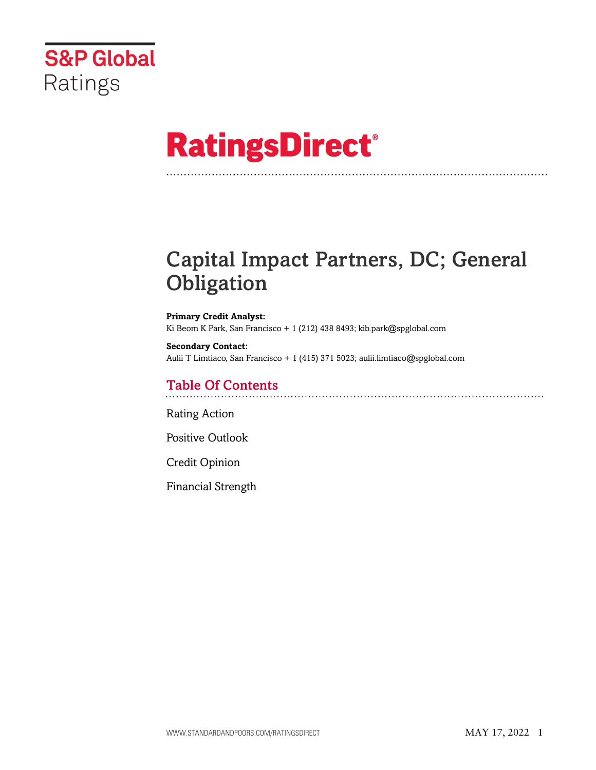

# **RatingsDirect®**

# Capital Impact Partners, DC; General **Obligation**

**Primary Credit Analyst:** Ki Beom K Park, San Francisco + 1 (212) 438 8493; kib.park@spglobal.com

**Secondary Contact:** Aulii T Limtiaco, San Francisco + 1 (415) 371 5023; aulii.limtiaco@spglobal.com

# Table Of Contents

[Rating Action](#page-1-0)

[Positive Outlook](#page-3-0)

[Credit Opinion](#page-3-1)

[Financial Strength](#page-3-2)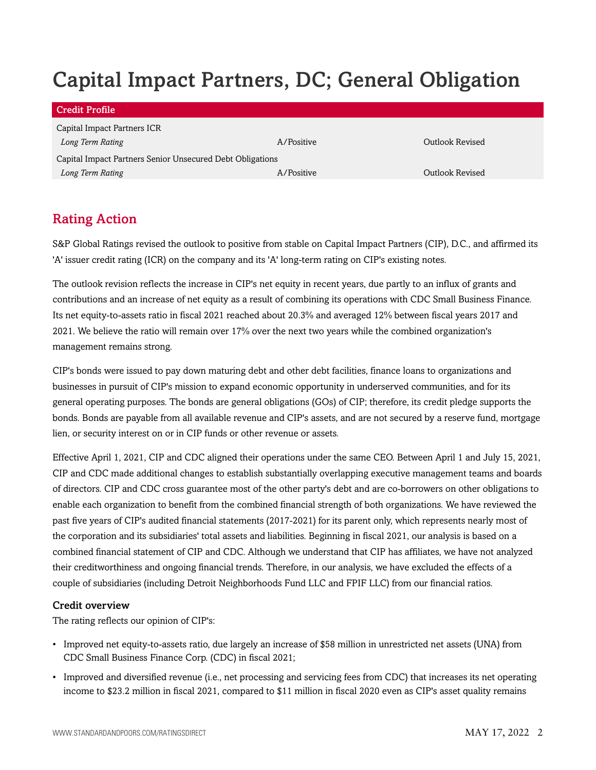# Capital Impact Partners, DC; General Obligation

| Credit Profile                                            |            |                 |  |  |  |  |  |
|-----------------------------------------------------------|------------|-----------------|--|--|--|--|--|
| Capital Impact Partners ICR                               |            |                 |  |  |  |  |  |
| Long Term Rating                                          | A/Positive | Outlook Revised |  |  |  |  |  |
| Capital Impact Partners Senior Unsecured Debt Obligations |            |                 |  |  |  |  |  |
| Long Term Rating                                          | A/Positive | Outlook Revised |  |  |  |  |  |

# <span id="page-1-0"></span>Rating Action

S&P Global Ratings revised the outlook to positive from stable on Capital Impact Partners (CIP), D.C., and affirmed its 'A' issuer credit rating (ICR) on the company and its 'A' long-term rating on CIP's existing notes.

The outlook revision reflects the increase in CIP's net equity in recent years, due partly to an influx of grants and contributions and an increase of net equity as a result of combining its operations with CDC Small Business Finance. Its net equity-to-assets ratio in fiscal 2021 reached about 20.3% and averaged 12% between fiscal years 2017 and 2021. We believe the ratio will remain over 17% over the next two years while the combined organization's management remains strong.

CIP's bonds were issued to pay down maturing debt and other debt facilities, finance loans to organizations and businesses in pursuit of CIP's mission to expand economic opportunity in underserved communities, and for its general operating purposes. The bonds are general obligations (GOs) of CIP; therefore, its credit pledge supports the bonds. Bonds are payable from all available revenue and CIP's assets, and are not secured by a reserve fund, mortgage lien, or security interest on or in CIP funds or other revenue or assets.

Effective April 1, 2021, CIP and CDC aligned their operations under the same CEO. Between April 1 and July 15, 2021, CIP and CDC made additional changes to establish substantially overlapping executive management teams and boards of directors. CIP and CDC cross guarantee most of the other party's debt and are co-borrowers on other obligations to enable each organization to benefit from the combined financial strength of both organizations. We have reviewed the past five years of CIP's audited financial statements (2017-2021) for its parent only, which represents nearly most of the corporation and its subsidiaries' total assets and liabilities. Beginning in fiscal 2021, our analysis is based on a combined financial statement of CIP and CDC. Although we understand that CIP has affiliates, we have not analyzed their creditworthiness and ongoing financial trends. Therefore, in our analysis, we have excluded the effects of a couple of subsidiaries (including Detroit Neighborhoods Fund LLC and FPIF LLC) from our financial ratios.

#### Credit overview

The rating reflects our opinion of CIP's:

- Improved net equity-to-assets ratio, due largely an increase of \$58 million in unrestricted net assets (UNA) from CDC Small Business Finance Corp. (CDC) in fiscal 2021;
- Improved and diversified revenue (i.e., net processing and servicing fees from CDC) that increases its net operating income to \$23.2 million in fiscal 2021, compared to \$11 million in fiscal 2020 even as CIP's asset quality remains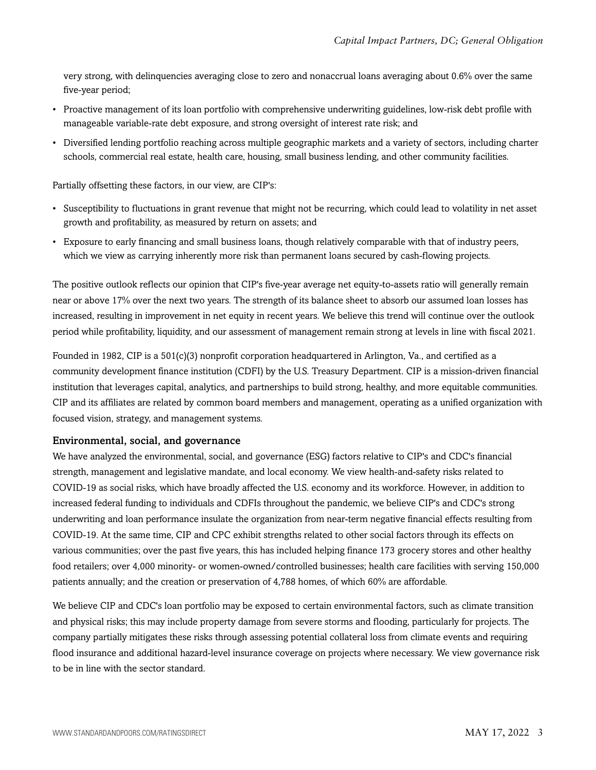very strong, with delinquencies averaging close to zero and nonaccrual loans averaging about 0.6% over the same five-year period;

- Proactive management of its loan portfolio with comprehensive underwriting guidelines, low-risk debt profile with manageable variable-rate debt exposure, and strong oversight of interest rate risk; and
- Diversified lending portfolio reaching across multiple geographic markets and a variety of sectors, including charter schools, commercial real estate, health care, housing, small business lending, and other community facilities.

Partially offsetting these factors, in our view, are CIP's:

- Susceptibility to fluctuations in grant revenue that might not be recurring, which could lead to volatility in net asset growth and profitability, as measured by return on assets; and
- Exposure to early financing and small business loans, though relatively comparable with that of industry peers, which we view as carrying inherently more risk than permanent loans secured by cash-flowing projects.

The positive outlook reflects our opinion that CIP's five-year average net equity-to-assets ratio will generally remain near or above 17% over the next two years. The strength of its balance sheet to absorb our assumed loan losses has increased, resulting in improvement in net equity in recent years. We believe this trend will continue over the outlook period while profitability, liquidity, and our assessment of management remain strong at levels in line with fiscal 2021.

Founded in 1982, CIP is a 501(c)(3) nonprofit corporation headquartered in Arlington, Va., and certified as a community development finance institution (CDFI) by the U.S. Treasury Department. CIP is a mission-driven financial institution that leverages capital, analytics, and partnerships to build strong, healthy, and more equitable communities. CIP and its affiliates are related by common board members and management, operating as a unified organization with focused vision, strategy, and management systems.

#### Environmental, social, and governance

We have analyzed the environmental, social, and governance (ESG) factors relative to CIP's and CDC's financial strength, management and legislative mandate, and local economy. We view health-and-safety risks related to COVID-19 as social risks, which have broadly affected the U.S. economy and its workforce. However, in addition to increased federal funding to individuals and CDFIs throughout the pandemic, we believe CIP's and CDC's strong underwriting and loan performance insulate the organization from near-term negative financial effects resulting from COVID-19. At the same time, CIP and CPC exhibit strengths related to other social factors through its effects on various communities; over the past five years, this has included helping finance 173 grocery stores and other healthy food retailers; over 4,000 minority- or women-owned/controlled businesses; health care facilities with serving 150,000 patients annually; and the creation or preservation of 4,788 homes, of which 60% are affordable.

We believe CIP and CDC's loan portfolio may be exposed to certain environmental factors, such as climate transition and physical risks; this may include property damage from severe storms and flooding, particularly for projects. The company partially mitigates these risks through assessing potential collateral loss from climate events and requiring flood insurance and additional hazard-level insurance coverage on projects where necessary. We view governance risk to be in line with the sector standard.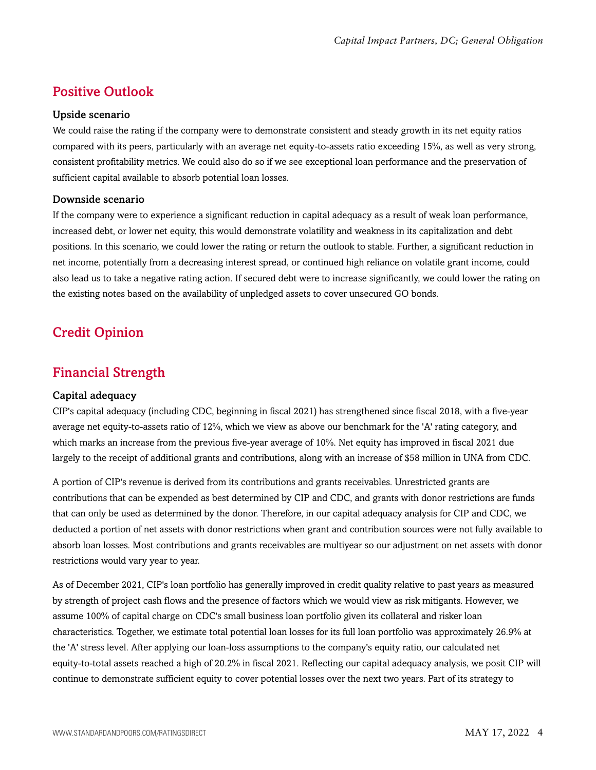### <span id="page-3-0"></span>Positive Outlook

#### Upside scenario

We could raise the rating if the company were to demonstrate consistent and steady growth in its net equity ratios compared with its peers, particularly with an average net equity-to-assets ratio exceeding 15%, as well as very strong, consistent profitability metrics. We could also do so if we see exceptional loan performance and the preservation of sufficient capital available to absorb potential loan losses.

#### Downside scenario

If the company were to experience a significant reduction in capital adequacy as a result of weak loan performance, increased debt, or lower net equity, this would demonstrate volatility and weakness in its capitalization and debt positions. In this scenario, we could lower the rating or return the outlook to stable. Further, a significant reduction in net income, potentially from a decreasing interest spread, or continued high reliance on volatile grant income, could also lead us to take a negative rating action. If secured debt were to increase significantly, we could lower the rating on the existing notes based on the availability of unpledged assets to cover unsecured GO bonds.

## <span id="page-3-1"></span>Credit Opinion

### <span id="page-3-2"></span>Financial Strength

#### Capital adequacy

CIP's capital adequacy (including CDC, beginning in fiscal 2021) has strengthened since fiscal 2018, with a five-year average net equity-to-assets ratio of 12%, which we view as above our benchmark for the 'A' rating category, and which marks an increase from the previous five-year average of 10%. Net equity has improved in fiscal 2021 due largely to the receipt of additional grants and contributions, along with an increase of \$58 million in UNA from CDC.

A portion of CIP's revenue is derived from its contributions and grants receivables. Unrestricted grants are contributions that can be expended as best determined by CIP and CDC, and grants with donor restrictions are funds that can only be used as determined by the donor. Therefore, in our capital adequacy analysis for CIP and CDC, we deducted a portion of net assets with donor restrictions when grant and contribution sources were not fully available to absorb loan losses. Most contributions and grants receivables are multiyear so our adjustment on net assets with donor restrictions would vary year to year.

As of December 2021, CIP's loan portfolio has generally improved in credit quality relative to past years as measured by strength of project cash flows and the presence of factors which we would view as risk mitigants. However, we assume 100% of capital charge on CDC's small business loan portfolio given its collateral and risker loan characteristics. Together, we estimate total potential loan losses for its full loan portfolio was approximately 26.9% at the 'A' stress level. After applying our loan-loss assumptions to the company's equity ratio, our calculated net equity-to-total assets reached a high of 20.2% in fiscal 2021. Reflecting our capital adequacy analysis, we posit CIP will continue to demonstrate sufficient equity to cover potential losses over the next two years. Part of its strategy to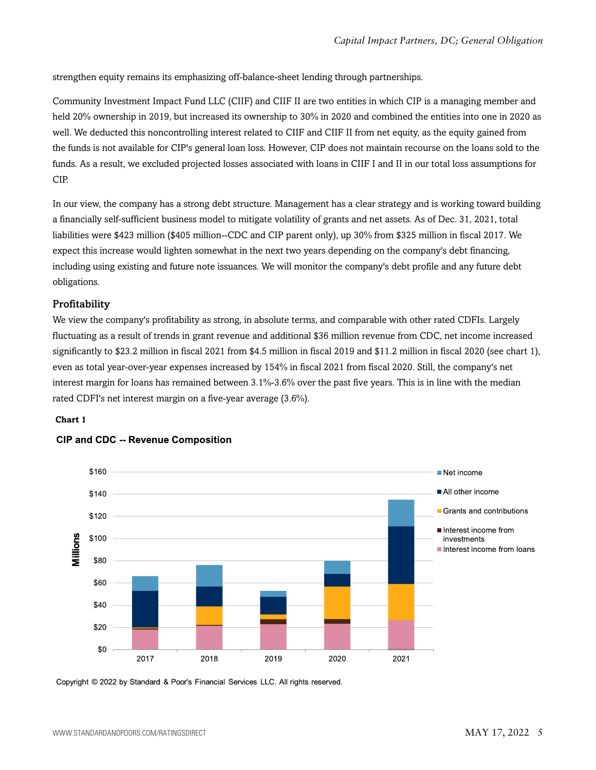strengthen equity remains its emphasizing off-balance-sheet lending through partnerships.

Community Investment Impact Fund LLC (CIIF) and CIIF II are two entities in which CIP is a managing member and held 20% ownership in 2019, but increased its ownership to 30% in 2020 and combined the entities into one in 2020 as well. We deducted this noncontrolling interest related to CIIF and CIIF II from net equity, as the equity gained from the funds is not available for CIP's general loan loss. However, CIP does not maintain recourse on the loans sold to the funds. As a result, we excluded projected losses associated with loans in CIIF I and II in our total loss assumptions for CIP.

In our view, the company has a strong debt structure. Management has a clear strategy and is working toward building a financially self-sufficient business model to mitigate volatility of grants and net assets. As of Dec. 31, 2021, total liabilities were \$423 million (\$405 million--CDC and CIP parent only), up 30% from \$325 million in fiscal 2017. We expect this increase would lighten somewhat in the next two years depending on the company's debt financing, including using existing and future note issuances. We will monitor the company's debt profile and any future debt obligations.

#### Profitability

We view the company's profitability as strong, in absolute terms, and comparable with other rated CDFIs. Largely fluctuating as a result of trends in grant revenue and additional \$36 million revenue from CDC, net income increased significantly to \$23.2 million in fiscal 2021 from \$4.5 million in fiscal 2019 and \$11.2 million in fiscal 2020 (see chart 1), even as total year-over-year expenses increased by 154% in fiscal 2021 from fiscal 2020. Still, the company's net interest margin for loans has remained between 3.1%-3.6% over the past five years. This is in line with the median rated CDFI's net interest margin on a five-year average (3.6%).

#### **Chart 1**



#### **CIP and CDC -- Revenue Composition**

Copyright © 2022 by Standard & Poor's Financial Services LLC. All rights reserved.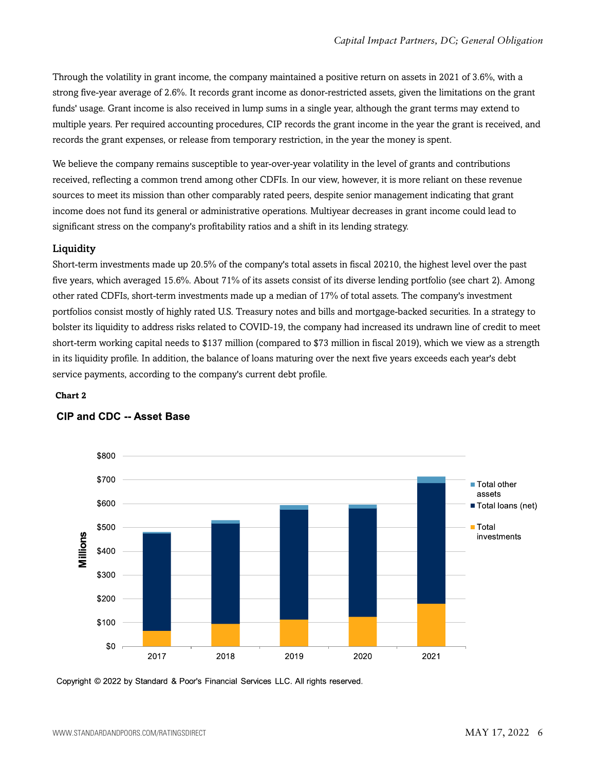Through the volatility in grant income, the company maintained a positive return on assets in 2021 of 3.6%, with a strong five-year average of 2.6%. It records grant income as donor-restricted assets, given the limitations on the grant funds' usage. Grant income is also received in lump sums in a single year, although the grant terms may extend to multiple years. Per required accounting procedures, CIP records the grant income in the year the grant is received, and records the grant expenses, or release from temporary restriction, in the year the money is spent.

We believe the company remains susceptible to year-over-year volatility in the level of grants and contributions received, reflecting a common trend among other CDFIs. In our view, however, it is more reliant on these revenue sources to meet its mission than other comparably rated peers, despite senior management indicating that grant income does not fund its general or administrative operations. Multiyear decreases in grant income could lead to significant stress on the company's profitability ratios and a shift in its lending strategy.

#### Liquidity

Short-term investments made up 20.5% of the company's total assets in fiscal 20210, the highest level over the past five years, which averaged 15.6%. About 71% of its assets consist of its diverse lending portfolio (see chart 2). Among other rated CDFIs, short-term investments made up a median of 17% of total assets. The company's investment portfolios consist mostly of highly rated U.S. Treasury notes and bills and mortgage-backed securities. In a strategy to bolster its liquidity to address risks related to COVID-19, the company had increased its undrawn line of credit to meet short-term working capital needs to \$137 million (compared to \$73 million in fiscal 2019), which we view as a strength in its liquidity profile. In addition, the balance of loans maturing over the next five years exceeds each year's debt service payments, according to the company's current debt profile.

#### **Chart 2**



#### **CIP and CDC -- Asset Base**

Copyright © 2022 by Standard & Poor's Financial Services LLC. All rights reserved.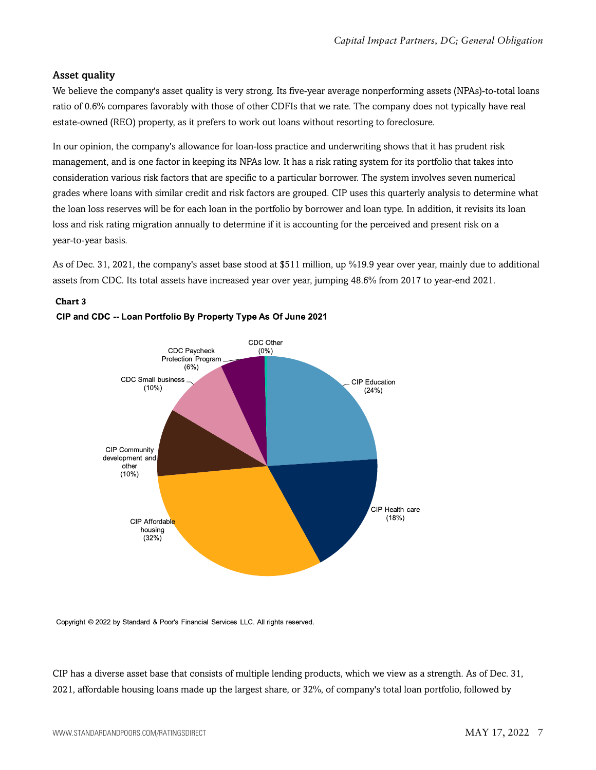#### Asset quality

We believe the company's asset quality is very strong. Its five-year average nonperforming assets (NPAs)-to-total loans ratio of 0.6% compares favorably with those of other CDFIs that we rate. The company does not typically have real estate-owned (REO) property, as it prefers to work out loans without resorting to foreclosure.

In our opinion, the company's allowance for loan-loss practice and underwriting shows that it has prudent risk management, and is one factor in keeping its NPAs low. It has a risk rating system for its portfolio that takes into consideration various risk factors that are specific to a particular borrower. The system involves seven numerical grades where loans with similar credit and risk factors are grouped. CIP uses this quarterly analysis to determine what the loan loss reserves will be for each loan in the portfolio by borrower and loan type. In addition, it revisits its loan loss and risk rating migration annually to determine if it is accounting for the perceived and present risk on a year-to-year basis.

As of Dec. 31, 2021, the company's asset base stood at \$511 million, up %19.9 year over year, mainly due to additional assets from CDC. Its total assets have increased year over year, jumping 48.6% from 2017 to year-end 2021.



#### **Chart 3** CIP and CDC -- Loan Portfolio By Property Type As Of June 2021

Copyright © 2022 by Standard & Poor's Financial Services LLC. All rights reserved.

CIP has a diverse asset base that consists of multiple lending products, which we view as a strength. As of Dec. 31, 2021, affordable housing loans made up the largest share, or 32%, of company's total loan portfolio, followed by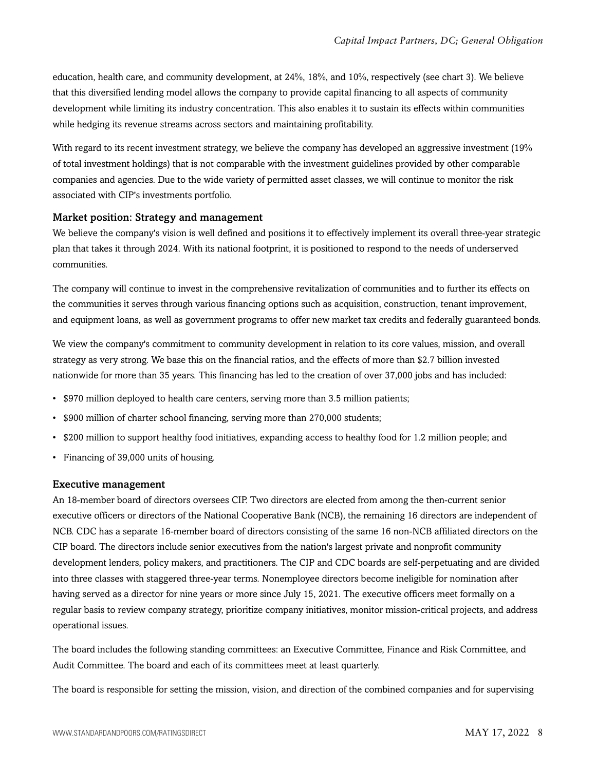education, health care, and community development, at 24%, 18%, and 10%, respectively (see chart 3). We believe that this diversified lending model allows the company to provide capital financing to all aspects of community development while limiting its industry concentration. This also enables it to sustain its effects within communities while hedging its revenue streams across sectors and maintaining profitability.

With regard to its recent investment strategy, we believe the company has developed an aggressive investment (19%) of total investment holdings) that is not comparable with the investment guidelines provided by other comparable companies and agencies. Due to the wide variety of permitted asset classes, we will continue to monitor the risk associated with CIP's investments portfolio.

#### Market position: Strategy and management

We believe the company's vision is well defined and positions it to effectively implement its overall three-year strategic plan that takes it through 2024. With its national footprint, it is positioned to respond to the needs of underserved communities.

The company will continue to invest in the comprehensive revitalization of communities and to further its effects on the communities it serves through various financing options such as acquisition, construction, tenant improvement, and equipment loans, as well as government programs to offer new market tax credits and federally guaranteed bonds.

We view the company's commitment to community development in relation to its core values, mission, and overall strategy as very strong. We base this on the financial ratios, and the effects of more than \$2.7 billion invested nationwide for more than 35 years. This financing has led to the creation of over 37,000 jobs and has included:

- \$970 million deployed to health care centers, serving more than 3.5 million patients;
- \$900 million of charter school financing, serving more than 270,000 students;
- \$200 million to support healthy food initiatives, expanding access to healthy food for 1.2 million people; and
- Financing of 39,000 units of housing.

#### Executive management

An 18-member board of directors oversees CIP. Two directors are elected from among the then-current senior executive officers or directors of the National Cooperative Bank (NCB), the remaining 16 directors are independent of NCB. CDC has a separate 16-member board of directors consisting of the same 16 non-NCB affiliated directors on the CIP board. The directors include senior executives from the nation's largest private and nonprofit community development lenders, policy makers, and practitioners. The CIP and CDC boards are self-perpetuating and are divided into three classes with staggered three-year terms. Nonemployee directors become ineligible for nomination after having served as a director for nine years or more since July 15, 2021. The executive officers meet formally on a regular basis to review company strategy, prioritize company initiatives, monitor mission-critical projects, and address operational issues.

The board includes the following standing committees: an Executive Committee, Finance and Risk Committee, and Audit Committee. The board and each of its committees meet at least quarterly.

The board is responsible for setting the mission, vision, and direction of the combined companies and for supervising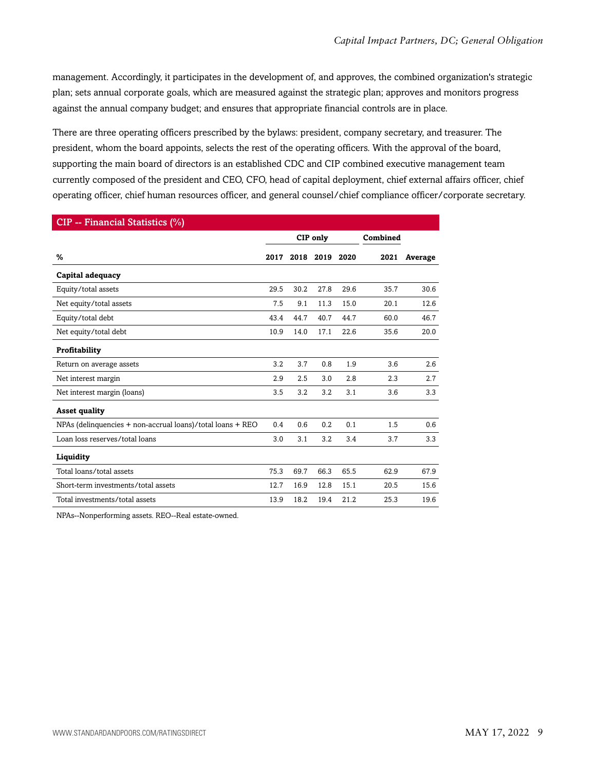management. Accordingly, it participates in the development of, and approves, the combined organization's strategic plan; sets annual corporate goals, which are measured against the strategic plan; approves and monitors progress against the annual company budget; and ensures that appropriate financial controls are in place.

There are three operating officers prescribed by the bylaws: president, company secretary, and treasurer. The president, whom the board appoints, selects the rest of the operating officers. With the approval of the board, supporting the main board of directors is an established CDC and CIP combined executive management team currently composed of the president and CEO, CFO, head of capital deployment, chief external affairs officer, chief operating officer, chief human resources officer, and general counsel/chief compliance officer/corporate secretary.

| CIP -- Financial Statistics (%) |          |      |      |           |         |  |  |
|---------------------------------|----------|------|------|-----------|---------|--|--|
|                                 | CIP only |      |      | Combined  |         |  |  |
| 2017                            |          |      | 2020 | 2021      | Average |  |  |
|                                 |          |      |      |           |         |  |  |
| 29.5                            | 30.2     | 27.8 | 29.6 | 35.7      | 30.6    |  |  |
| 7.5                             | 9.1      | 11.3 | 15.0 | 20.1      | 12.6    |  |  |
| 43.4                            | 44.7     | 40.7 | 44.7 | 60.0      | 46.7    |  |  |
| 10.9                            | 14.0     | 17.1 | 22.6 | 35.6      | 20.0    |  |  |
|                                 |          |      |      |           |         |  |  |
| 3.2                             | 3.7      | 0.8  | 1.9  | 3.6       | 2.6     |  |  |
| 2.9                             | 2.5      | 3.0  | 2.8  | 2.3       | 2.7     |  |  |
| 3.5                             | 3.2      | 3.2  | 3.1  | 3.6       | 3.3     |  |  |
|                                 |          |      |      |           |         |  |  |
| 0.4                             | 0.6      | 0.2  | 0.1  | 1.5       | 0.6     |  |  |
| 3.0                             | 3.1      | 3.2  | 3.4  | 3.7       | 3.3     |  |  |
|                                 |          |      |      |           |         |  |  |
| 75.3                            | 69.7     | 66.3 | 65.5 | 62.9      | 67.9    |  |  |
| 12.7                            | 16.9     | 12.8 | 15.1 | 20.5      | 15.6    |  |  |
| 13.9                            | 18.2     | 19.4 | 21.2 | 25.3      | 19.6    |  |  |
|                                 |          |      |      | 2018 2019 |         |  |  |

NPAs--Nonperforming assets. REO--Real estate-owned.